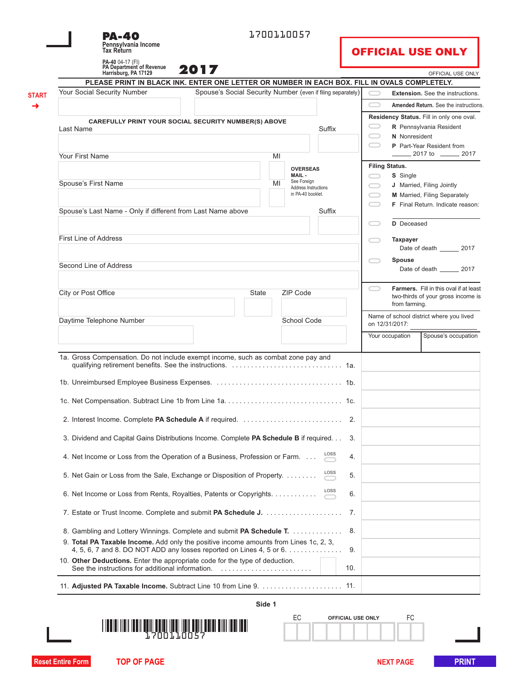| <b>PA-40</b><br>Pennsylvania Income<br><b>Tax Return</b>                                                                                                      |                                                             | 1700110057 |                                     |            |            |                       | <b>OFFICIAL USE ONLY</b>                                            |
|---------------------------------------------------------------------------------------------------------------------------------------------------------------|-------------------------------------------------------------|------------|-------------------------------------|------------|------------|-----------------------|---------------------------------------------------------------------|
| PA-40 04-17 (FI)<br>PA Department of Revenue                                                                                                                  | 2017                                                        |            |                                     |            |            |                       |                                                                     |
| Harrisburg, PA 17129<br>PLEASE PRINT IN BLACK INK. ENTER ONE LETTER OR NUMBER IN EACH BOX. FILL IN OVALS COMPLETELY.                                          |                                                             |            |                                     |            |            |                       | OFFICIAL USE ONLY                                                   |
| Your Social Security Number                                                                                                                                   | Spouse's Social Security Number (even if filing separately) |            |                                     |            |            |                       | <b>Extension.</b> See the instructions.                             |
|                                                                                                                                                               |                                                             |            |                                     |            | $\bigcirc$ |                       |                                                                     |
|                                                                                                                                                               |                                                             |            |                                     |            |            |                       | Amended Return. See the instructions                                |
| <b>CAREFULLY PRINT YOUR SOCIAL SECURITY NUMBER(S) ABOVE</b>                                                                                                   |                                                             |            |                                     |            |            |                       | Residency Status. Fill in only one oval.<br>R Pennsylvania Resident |
| Last Name                                                                                                                                                     |                                                             |            |                                     | Suffix     |            | N Nonresident         |                                                                     |
|                                                                                                                                                               |                                                             |            |                                     |            |            |                       | P Part-Year Resident from                                           |
| Your First Name                                                                                                                                               |                                                             | MI         |                                     |            |            |                       | $\frac{1}{2017}$ to $\frac{1}{2017}$                                |
|                                                                                                                                                               |                                                             |            | <b>OVERSEAS</b>                     |            |            | <b>Filing Status.</b> |                                                                     |
|                                                                                                                                                               |                                                             |            | MAIL-                               |            |            | S Single              |                                                                     |
| Spouse's First Name                                                                                                                                           |                                                             | MI         | See Foreign<br>Address Instructions |            |            |                       | J Married, Filing Jointly                                           |
|                                                                                                                                                               |                                                             |            | in PA-40 booklet.                   |            | □          |                       | M Married, Filing Separately                                        |
| Spouse's Last Name - Only if different from Last Name above                                                                                                   |                                                             |            |                                     | Suffix     |            |                       | F Final Return. Indicate reason:                                    |
|                                                                                                                                                               |                                                             |            |                                     |            |            |                       |                                                                     |
|                                                                                                                                                               |                                                             |            |                                     |            |            | <b>D</b> Deceased     |                                                                     |
| <b>First Line of Address</b>                                                                                                                                  |                                                             |            |                                     |            |            | <b>Taxpayer</b>       |                                                                     |
|                                                                                                                                                               |                                                             |            |                                     |            |            |                       | Date of death 2017                                                  |
|                                                                                                                                                               |                                                             |            |                                     |            |            | <b>Spouse</b>         |                                                                     |
| Second Line of Address                                                                                                                                        |                                                             |            |                                     |            |            |                       | Date of death 2017                                                  |
|                                                                                                                                                               |                                                             |            |                                     |            |            |                       | Farmers. Fill in this oval if at least                              |
| City or Post Office                                                                                                                                           | State                                                       |            | ZIP Code                            |            |            |                       | two-thirds of your gross income is                                  |
|                                                                                                                                                               |                                                             |            |                                     |            |            | from farming.         |                                                                     |
| Daytime Telephone Number                                                                                                                                      |                                                             |            | School Code                         |            |            | on 12/31/2017:        | Name of school district where you lived                             |
|                                                                                                                                                               |                                                             |            |                                     |            |            |                       |                                                                     |
|                                                                                                                                                               |                                                             |            |                                     |            |            | Your occupation       | Spouse's occupation                                                 |
| 1a. Gross Compensation. Do not include exempt income, such as combat zone pay and                                                                             |                                                             |            |                                     |            |            |                       |                                                                     |
|                                                                                                                                                               |                                                             |            |                                     |            |            |                       |                                                                     |
|                                                                                                                                                               |                                                             |            |                                     |            |            |                       |                                                                     |
| 2. Interest Income. Complete PA Schedule A if required.                                                                                                       |                                                             |            |                                     | 2.         |            |                       |                                                                     |
| 3. Dividend and Capital Gains Distributions Income. Complete PA Schedule B if required                                                                        |                                                             |            |                                     | 3.         |            |                       |                                                                     |
| 4. Net Income or Loss from the Operation of a Business, Profession or Farm.                                                                                   |                                                             |            |                                     | 4.         |            |                       |                                                                     |
| 5. Net Gain or Loss from the Sale, Exchange or Disposition of Property.                                                                                       |                                                             |            |                                     | LOSS<br>5. |            |                       |                                                                     |
| 6. Net Income or Loss from Rents, Royalties, Patents or Copyrights.                                                                                           |                                                             |            |                                     | LOSS<br>6. |            |                       |                                                                     |
|                                                                                                                                                               |                                                             |            |                                     | 7.         |            |                       |                                                                     |
| 8. Gambling and Lottery Winnings. Complete and submit PA Schedule T.                                                                                          |                                                             |            |                                     | 8.         |            |                       |                                                                     |
| 9. Total PA Taxable Income. Add only the positive income amounts from Lines 1c, 2, 3,<br>4, 5, 6, 7 and 8. DO NOT ADD any losses reported on Lines 4, 5 or 6. |                                                             |            |                                     | 9.         |            |                       |                                                                     |
| 10. Other Deductions. Enter the appropriate code for the type of deduction.                                                                                   |                                                             |            |                                     | 10.        |            |                       |                                                                     |
| 11. Adjusted PA Taxable Income. Subtract Line 10 from Line 9.  11.                                                                                            |                                                             |            |                                     |            |            |                       |                                                                     |
|                                                                                                                                                               |                                                             |            |                                     |            |            |                       |                                                                     |
|                                                                                                                                                               |                                                             | Side 1     |                                     |            |            |                       |                                                                     |



|  | <b>OFFICIAL USE ONLY</b> |  |  |
|--|--------------------------|--|--|
|  |                          |  |  |